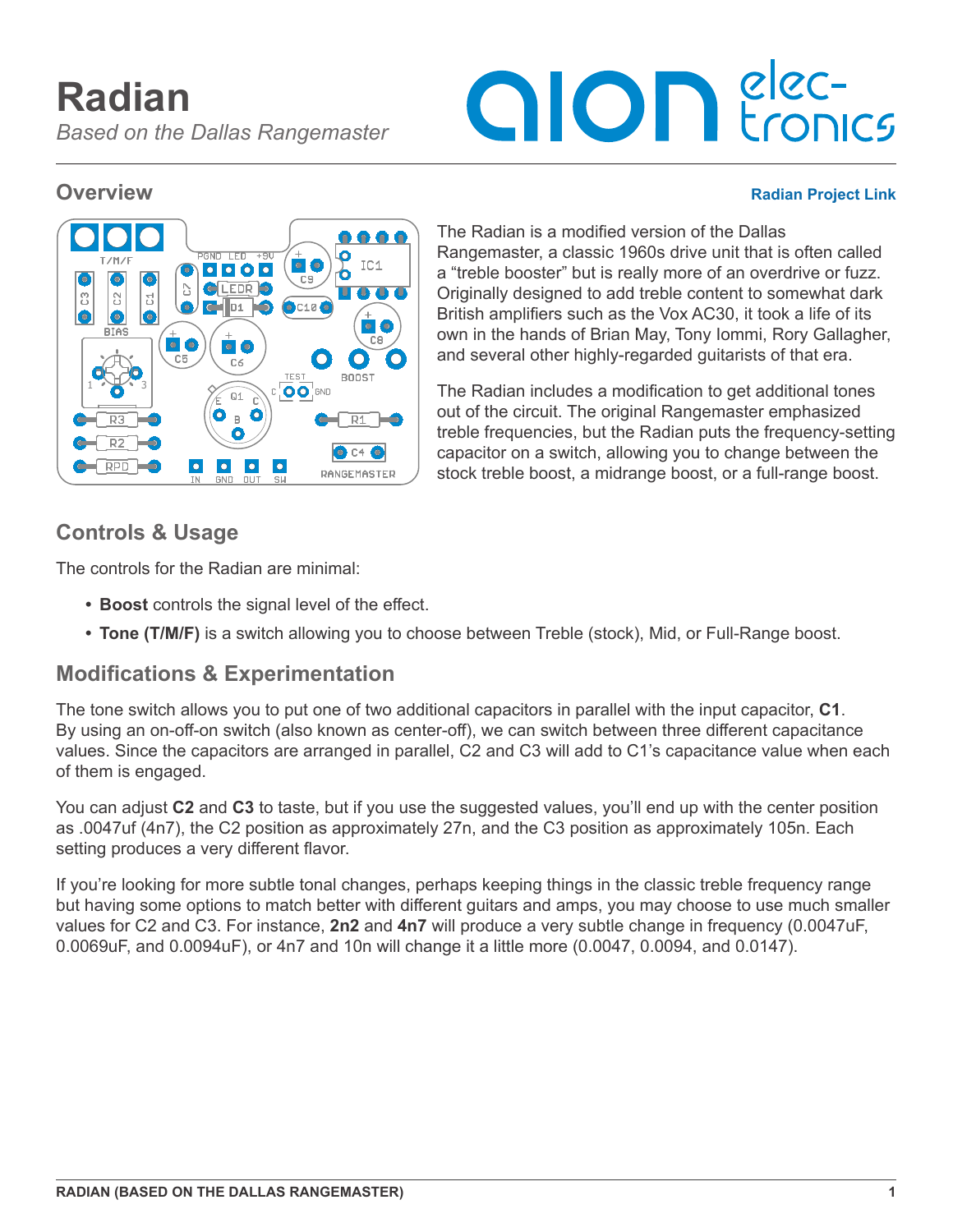# **alon** elec-

#### **Overview Radian Project Link**



The Radian is a modified version of the Dallas Rangemaster, a classic 1960s drive unit that is often called a "treble booster" but is really more of an overdrive or fuzz. Originally designed to add treble content to somewhat dark British amplifiers such as the Vox AC30, it took a life of its own in the hands of Brian May, Tony Iommi, Rory Gallagher, and several other highly-regarded guitarists of that era.

The Radian includes a modification to get additional tones out of the circuit. The original Rangemaster emphasized treble frequencies, but the Radian puts the frequency-setting capacitor on a switch, allowing you to change between the stock treble boost, a midrange boost, or a full-range boost.

# **Controls & Usage**

The controls for the Radian are minimal:

- **• Boost** controls the signal level of the effect.
- **• Tone (T/M/F)** is a switch allowing you to choose between Treble (stock), Mid, or Full-Range boost.

## **Modifications & Experimentation**

The tone switch allows you to put one of two additional capacitors in parallel with the input capacitor, **C1**. By using an on-off-on switch (also known as center-off), we can switch between three different capacitance values. Since the capacitors are arranged in parallel, C2 and C3 will add to C1's capacitance value when each of them is engaged.

You can adjust **C2** and **C3** to taste, but if you use the suggested values, you'll end up with the center position as .0047uf (4n7), the C2 position as approximately 27n, and the C3 position as approximately 105n. Each setting produces a very different flavor.

If you're looking for more subtle tonal changes, perhaps keeping things in the classic treble frequency range but having some options to match better with different guitars and amps, you may choose to use much smaller values for C2 and C3. For instance, **2n2** and **4n7** will produce a very subtle change in frequency (0.0047uF, 0.0069uF, and 0.0094uF), or 4n7 and 10n will change it a little more (0.0047, 0.0094, and 0.0147).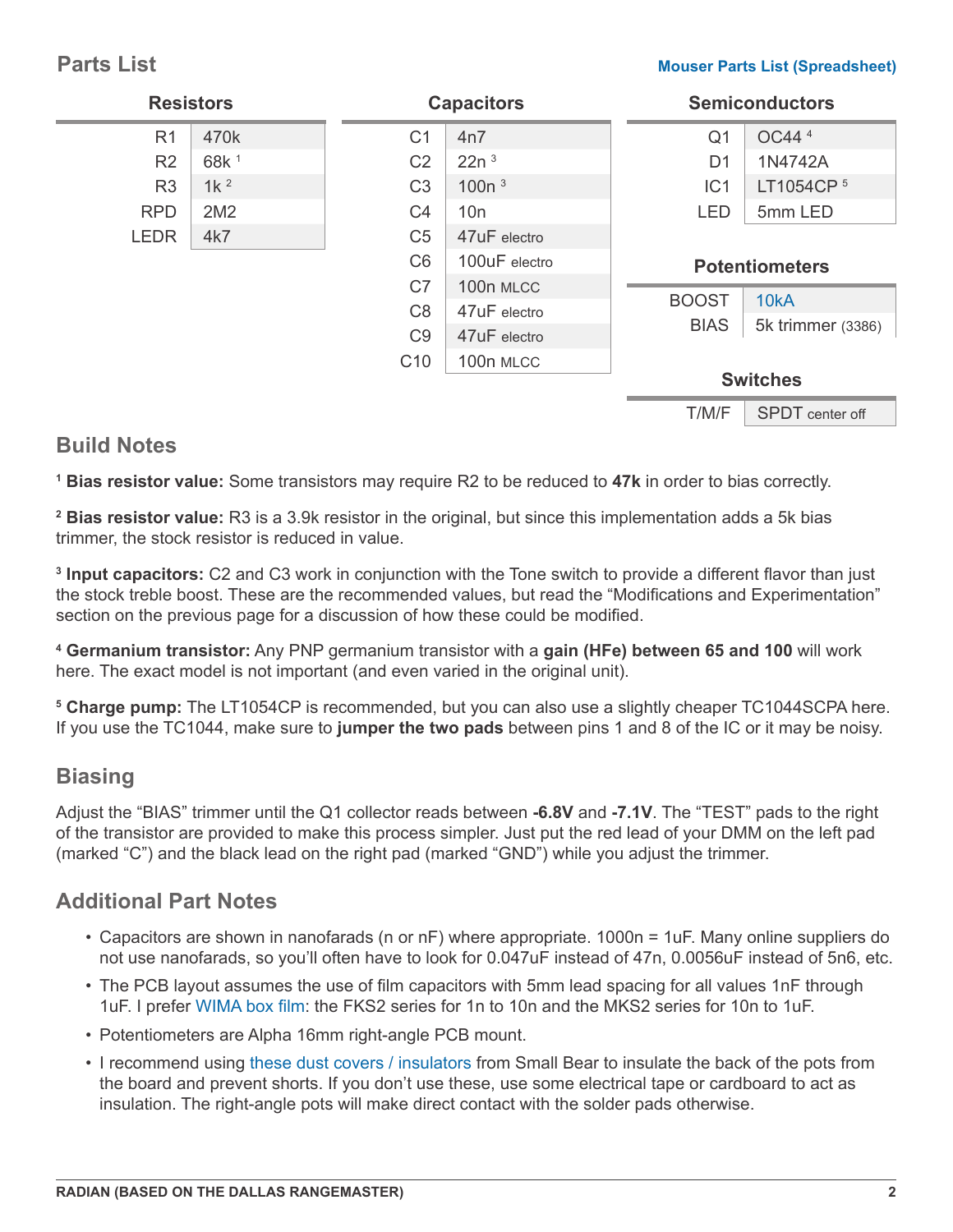## **Parts List**

#### **[Mouser Parts List \(Spreadsheet\)](https://docs.google.com/spreadsheets/d/1eLHRFLtpUY-CilaiEsuia1n1R64JwE0NpZJCcu0hUNM/edit?usp=sharing)**

| <b>Resistors</b> |                  | <b>Capacitors</b> |                   | <b>Semiconductors</b> |                        |
|------------------|------------------|-------------------|-------------------|-----------------------|------------------------|
| R <sub>1</sub>   | 470k             | C <sub>1</sub>    | 4n7               | Q <sub>1</sub>        | OC44 <sup>4</sup>      |
| R <sub>2</sub>   | 68k <sup>1</sup> | C <sub>2</sub>    | 22n <sup>3</sup>  | D <sub>1</sub>        | 1N4742A                |
| R <sub>3</sub>   | 1k <sup>2</sup>  | C <sub>3</sub>    | 100n <sup>3</sup> | IC1                   | LT1054CP 5             |
| <b>RPD</b>       | 2M2              | C <sub>4</sub>    | 10n               | <b>LED</b>            | 5mm LED                |
| <b>LEDR</b>      | 4k7              | C <sub>5</sub>    | 47uF electro      |                       |                        |
|                  |                  | C <sub>6</sub>    | 100uF electro     | <b>Potentiometers</b> |                        |
|                  |                  | C7                | 100n MLCC         | <b>BOOST</b>          |                        |
|                  |                  | C <sub>8</sub>    | 47uF electro      |                       | 10 <sub>k</sub> A      |
|                  |                  | C <sub>9</sub>    | 47uF electro      | <b>BIAS</b>           | 5k trimmer (3386)      |
|                  |                  | C <sub>10</sub>   | 100n MLCC         |                       |                        |
|                  |                  |                   |                   | <b>Switches</b>       |                        |
| .                |                  |                   |                   | T/M/F                 | <b>SPDT</b> center off |

#### **Build Notes**

**<sup>1</sup> Bias resistor value:** Some transistors may require R2 to be reduced to **47k** in order to bias correctly.

**<sup>2</sup> Bias resistor value:** R3 is a 3.9k resistor in the original, but since this implementation adds a 5k bias trimmer, the stock resistor is reduced in value.

**<sup>3</sup> Input capacitors:** C2 and C3 work in conjunction with the Tone switch to provide a different flavor than just the stock treble boost. These are the recommended values, but read the "Modifications and Experimentation" section on the previous page for a discussion of how these could be modified.

**<sup>4</sup> Germanium transistor:** Any PNP germanium transistor with a **gain (HFe) between 65 and 100** will work here. The exact model is not important (and even varied in the original unit).

**<sup>5</sup> Charge pump:** The LT1054CP is recommended, but you can also use a slightly cheaper TC1044SCPA here. If you use the TC1044, make sure to **jumper the two pads** between pins 1 and 8 of the IC or it may be noisy.

### **Biasing**

Adjust the "BIAS" trimmer until the Q1 collector reads between **-6.8V** and **-7.1V**. The "TEST" pads to the right of the transistor are provided to make this process simpler. Just put the red lead of your DMM on the left pad (marked "C") and the black lead on the right pad (marked "GND") while you adjust the trimmer.

### **Additional Part Notes**

- Capacitors are shown in nanofarads (n or nF) where appropriate. 1000n = 1uF. Many online suppliers do not use nanofarads, so you'll often have to look for 0.047uF instead of 47n, 0.0056uF instead of 5n6, etc.
- The PCB layout assumes the use of film capacitors with 5mm lead spacing for all values 1nF through 1uF. I prefer [WIMA box film](https://aionelectronics.com/link/wima-box-film-capacitors/): the FKS2 series for 1n to 10n and the MKS2 series for 10n to 1uF.
- Potentiometers are Alpha 16mm right-angle PCB mount.
- I recommend using [these dust covers / insulators](https://aionelectronics.com/link/16mm-dust-covers/) from Small Bear to insulate the back of the pots from the board and prevent shorts. If you don't use these, use some electrical tape or cardboard to act as insulation. The right-angle pots will make direct contact with the solder pads otherwise.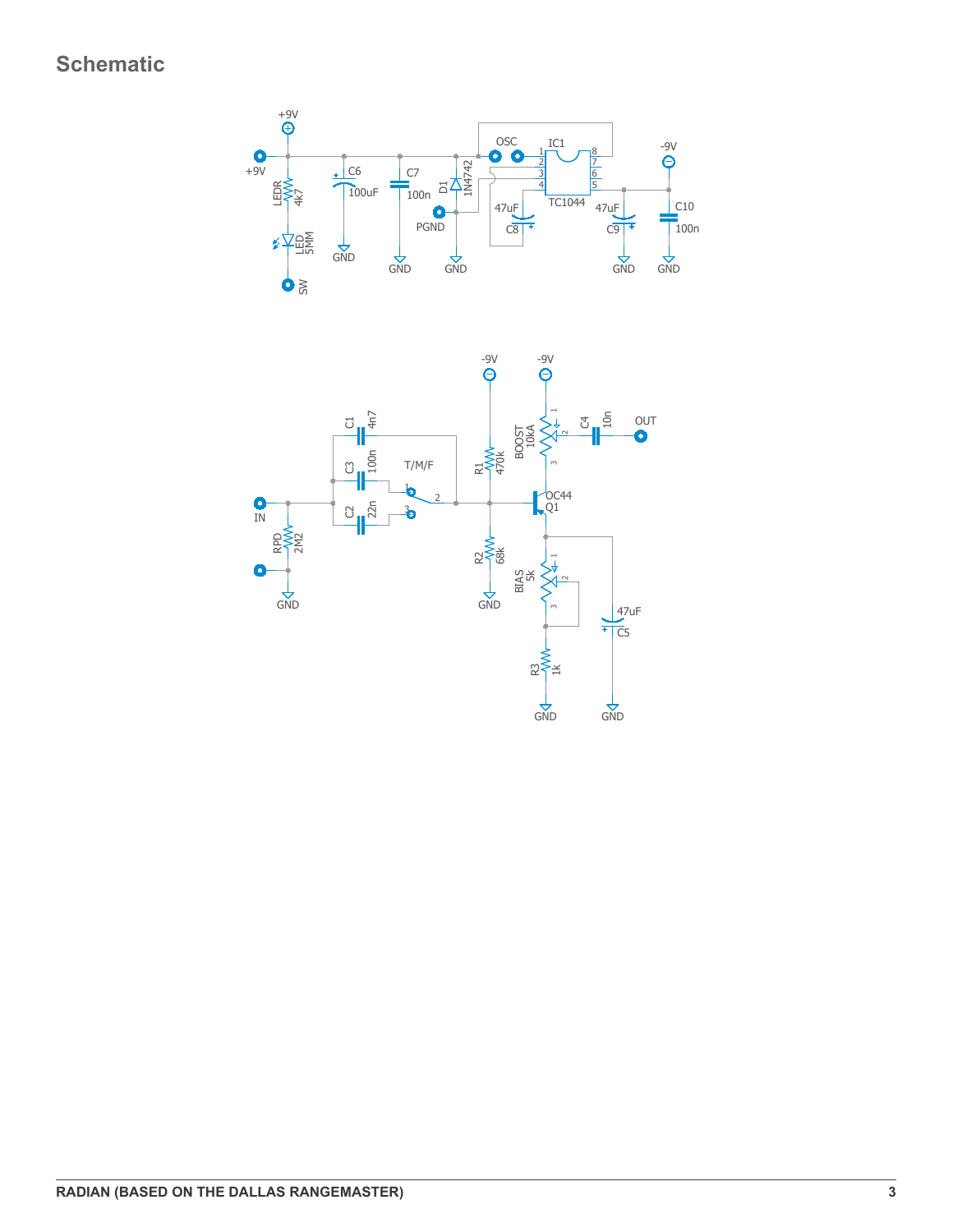# **Schematic**



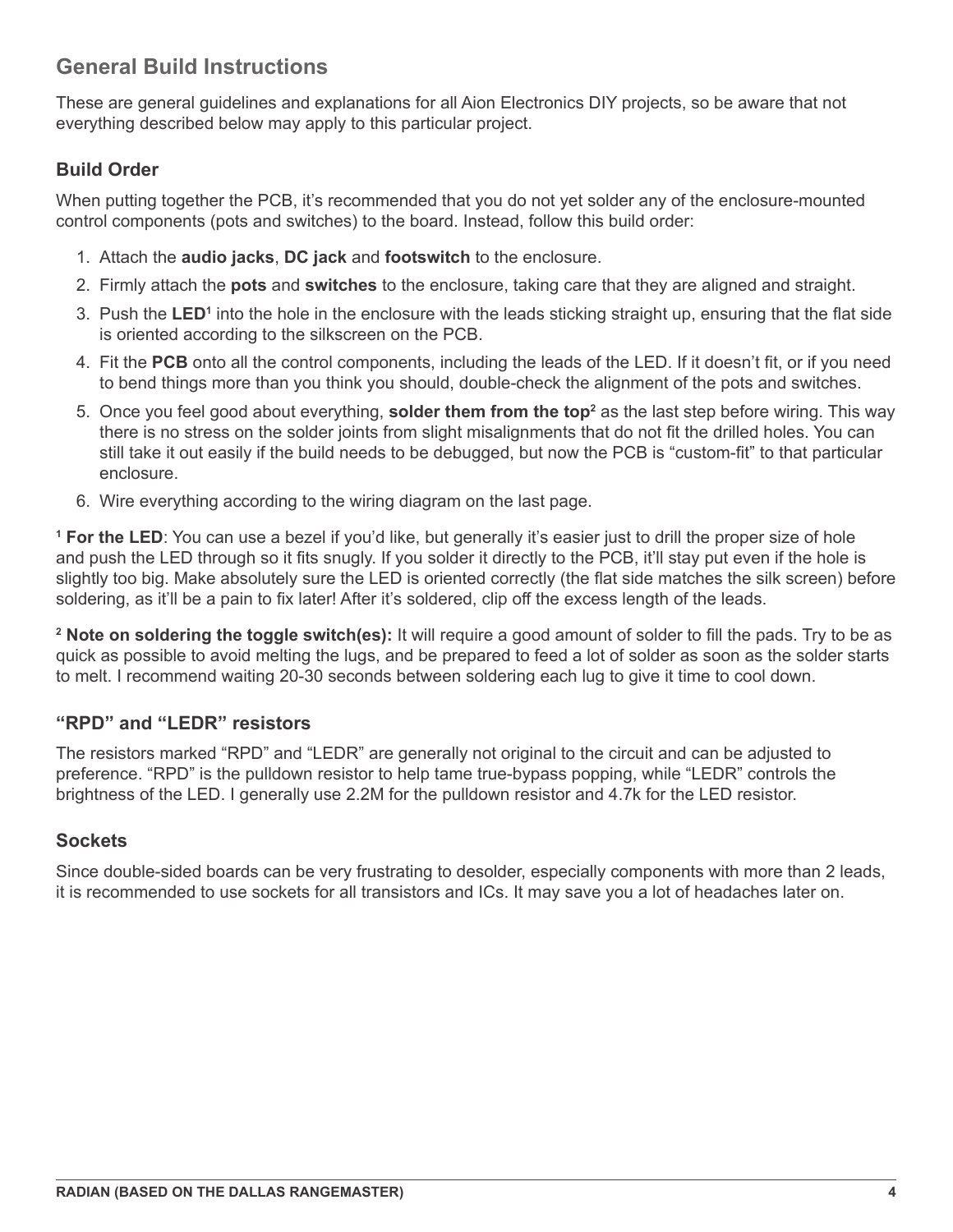## **General Build Instructions**

These are general guidelines and explanations for all Aion Electronics DIY projects, so be aware that not everything described below may apply to this particular project.

#### **Build Order**

When putting together the PCB, it's recommended that you do not yet solder any of the enclosure-mounted control components (pots and switches) to the board. Instead, follow this build order:

- 1. Attach the **audio jacks**, **DC jack** and **footswitch** to the enclosure.
- 2. Firmly attach the **pots** and **switches** to the enclosure, taking care that they are aligned and straight.
- 3. Push the LED<sup>1</sup> into the hole in the enclosure with the leads sticking straight up, ensuring that the flat side is oriented according to the silkscreen on the PCB.
- 4. Fit the **PCB** onto all the control components, including the leads of the LED. If it doesn't fit, or if you need to bend things more than you think you should, double-check the alignment of the pots and switches.
- 5. Once you feel good about everything, **solder them from the top**<sup>2</sup> as the last step before wiring. This way there is no stress on the solder joints from slight misalignments that do not fit the drilled holes. You can still take it out easily if the build needs to be debugged, but now the PCB is "custom-fit" to that particular enclosure.
- 6. Wire everything according to the wiring diagram on the last page.

**1 For the LED**: You can use a bezel if you'd like, but generally it's easier just to drill the proper size of hole and push the LED through so it fits snugly. If you solder it directly to the PCB, it'll stay put even if the hole is slightly too big. Make absolutely sure the LED is oriented correctly (the flat side matches the silk screen) before soldering, as it'll be a pain to fix later! After it's soldered, clip off the excess length of the leads.

**2 Note on soldering the toggle switch(es):** It will require a good amount of solder to fill the pads. Try to be as quick as possible to avoid melting the lugs, and be prepared to feed a lot of solder as soon as the solder starts to melt. I recommend waiting 20-30 seconds between soldering each lug to give it time to cool down.

#### **"RPD" and "LEDR" resistors**

The resistors marked "RPD" and "LEDR" are generally not original to the circuit and can be adjusted to preference. "RPD" is the pulldown resistor to help tame true-bypass popping, while "LEDR" controls the brightness of the LED. I generally use 2.2M for the pulldown resistor and 4.7k for the LED resistor.

#### **Sockets**

Since double-sided boards can be very frustrating to desolder, especially components with more than 2 leads, it is recommended to use sockets for all transistors and ICs. It may save you a lot of headaches later on.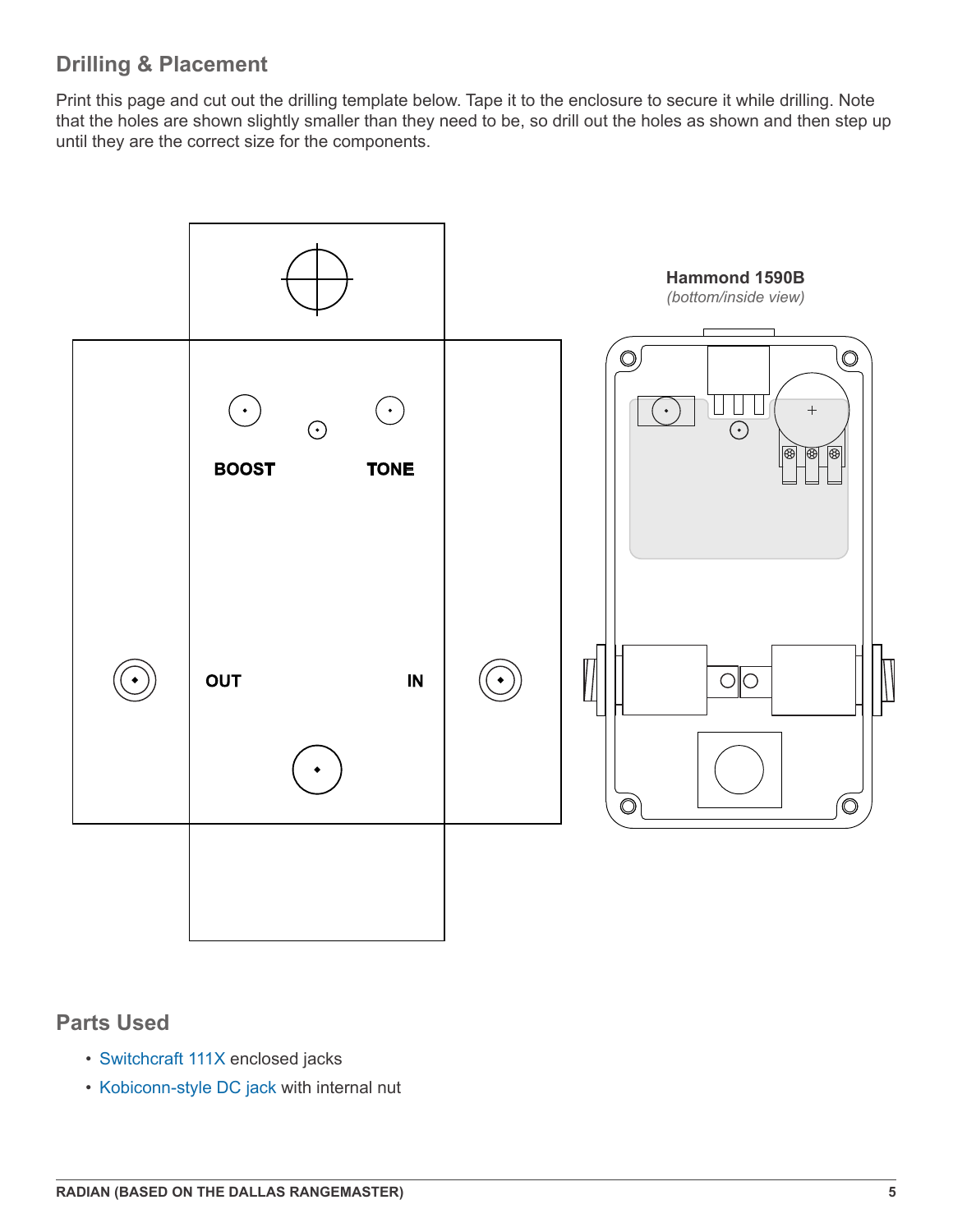## **Drilling & Placement**

Print this page and cut out the drilling template below. Tape it to the enclosure to secure it while drilling. Note that the holes are shown slightly smaller than they need to be, so drill out the holes as shown and then step up until they are the correct size for the components.



### **Parts Used**

- [Switchcraft 111](https://aionelectronics.com/link/switchcraft-111/)X enclosed jacks
- [Kobiconn-style DC jack](https://aionelectronics.com/link/dc-jack/) with internal nut